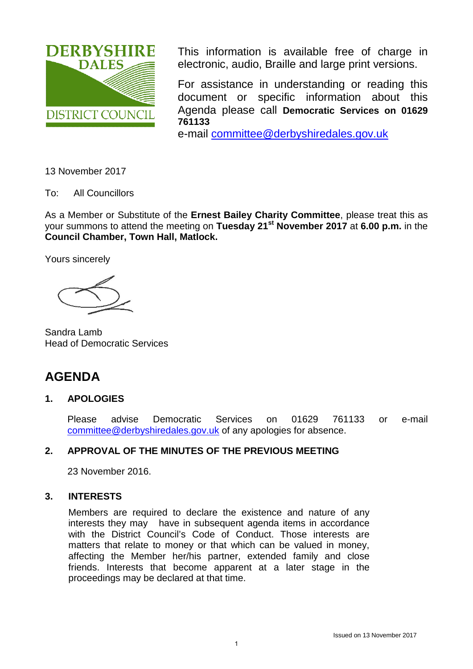

This information is available free of charge in electronic, audio, Braille and large print versions.

For assistance in understanding or reading this document or specific information about this Agenda please call **Democratic Services on 01629 761133**

e-mail [committee@derbyshiredales.gov.uk](mailto:committee@derbyshiredales.gov.uk)

13 November 2017

To: All Councillors

As a Member or Substitute of the **Ernest Bailey Charity Committee**, please treat this as your summons to attend the meeting on **Tuesday 21st November 2017** at **6.00 p.m.** in the **Council Chamber, Town Hall, Matlock.** 

Yours sincerely

Sandra Lamb Head of Democratic Services

# **AGENDA**

# **1. APOLOGIES**

Please advise Democratic Services on 01629 761133 or e-mail [committee@derbyshiredales.gov.uk](mailto:committee@derbyshiredales.gov.uk) of any apologies for absence.

# **2. APPROVAL OF THE MINUTES OF THE PREVIOUS MEETING**

23 November 2016.

# **3. INTERESTS**

Members are required to declare the existence and nature of any interests they may have in subsequent agenda items in accordance with the District Council's Code of Conduct. Those interests are matters that relate to money or that which can be valued in money, affecting the Member her/his partner, extended family and close friends. Interests that become apparent at a later stage in the proceedings may be declared at that time.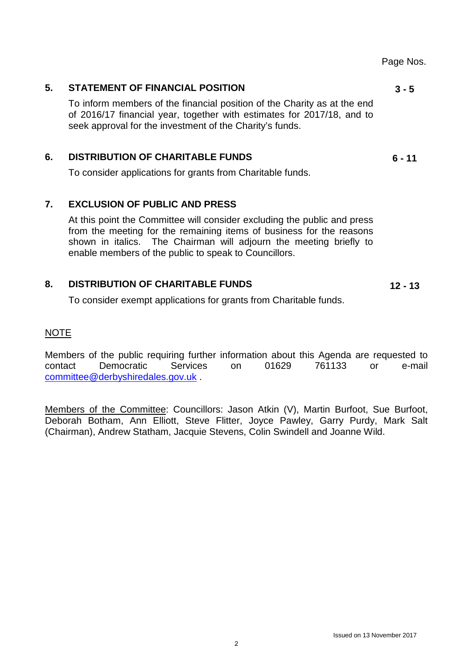#### Page Nos.

#### **5. [STATEMENT OF FINANCIAL POSITION](#page-2-0)**

To inform members of the financial position of the Charity as at the end of 2016/17 financial year, together with estimates for 2017/18, and to seek approval for the investment of the Charity's funds.

## **6. [DISTRIBUTION OF CHARITABLE FUNDS](#page-5-0)**

To consider applications for grants from Charitable funds.

#### **7. EXCLUSION OF PUBLIC AND PRESS**

At this point the Committee will consider excluding the public and press from the meeting for the remaining items of business for the reasons shown in italics. The Chairman will adjourn the meeting briefly to enable members of the public to speak to Councillors.

#### **8. DISTRIBUTION OF CHARITABLE FUNDS 12 - 13**

To consider exempt applications for grants from Charitable funds.

#### NOTE

Members of the public requiring further information about this Agenda are requested to contact Democratic Services on 01629 761133 or e-mail [committee@derbyshiredales.gov.uk](mailto:committee@derbyshiredales.gov.uk) .

Members of the Committee: Councillors: Jason Atkin (V), Martin Burfoot, Sue Burfoot, Deborah Botham, Ann Elliott, Steve Flitter, Joyce Pawley, Garry Purdy, Mark Salt (Chairman), Andrew Statham, Jacquie Stevens, Colin Swindell and Joanne Wild.

**3 - 5** 

**6 - 11**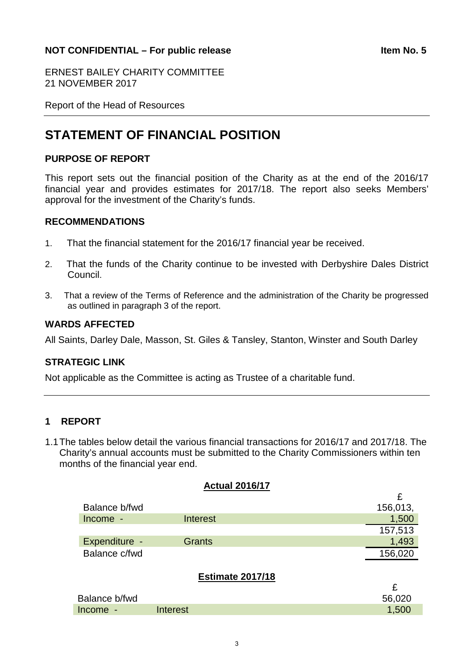#### <span id="page-2-0"></span>**NOT CONFIDENTIAL – For public release <b>Internal Studies Item No. 5**

ERNEST BAILEY CHARITY COMMITTEE 21 NOVEMBER 2017

Report of the Head of Resources

# **STATEMENT OF FINANCIAL POSITION**

#### **PURPOSE OF REPORT**

This report sets out the financial position of the Charity as at the end of the 2016/17 financial year and provides estimates for 2017/18. The report also seeks Members' approval for the investment of the Charity's funds.

#### **RECOMMENDATIONS**

- 1. That the financial statement for the 2016/17 financial year be received.
- 2. That the funds of the Charity continue to be invested with Derbyshire Dales District Council.
- 3. That a review of the Terms of Reference and the administration of the Charity be progressed as outlined in paragraph 3 of the report.

#### **WARDS AFFECTED**

All Saints, Darley Dale, Masson, St. Giles & Tansley, Stanton, Winster and South Darley

#### **STRATEGIC LINK**

Not applicable as the Committee is acting as Trustee of a charitable fund.

#### **1 REPORT**

1.1The tables below detail the various financial transactions for 2016/17 and 2017/18. The Charity's annual accounts must be submitted to the Charity Commissioners within ten months of the financial year end.

**Actual 2016/17**

|               | $1.9.9.9.1$ $-9.1.9.1.1$ |          |
|---------------|--------------------------|----------|
|               |                          | £        |
| Balance b/fwd |                          | 156,013, |
| Income -      | <b>Interest</b>          | 1,500    |
|               |                          | 157,513  |
| Expenditure - | <b>Grants</b>            | 1,493    |
| Balance c/fwd |                          | 156,020  |
|               | <b>Estimate 2017/18</b>  | £        |
| Balance b/fwd |                          | 56,020   |
| Income -      | <b>Interest</b>          | 1,500    |
|               |                          |          |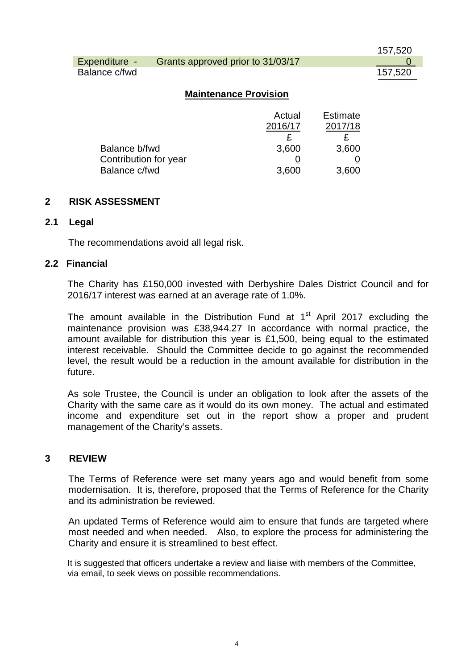|               |                                   | 157,520 |
|---------------|-----------------------------------|---------|
| Expenditure - | Grants approved prior to 31/03/17 |         |
| Balance c/fwd |                                   | 157,520 |

#### **Maintenance Provision**

|                       | Actual  | <b>Estimate</b> |
|-----------------------|---------|-----------------|
|                       | 2016/17 | 2017/18         |
|                       |         |                 |
| Balance b/fwd         | 3,600   | 3,600           |
| Contribution for year |         |                 |
| Balance c/fwd         | 3.600   |                 |

#### **2 RISK ASSESSMENT**

#### **2.1 Legal**

The recommendations avoid all legal risk.

#### **2.2 Financial**

The Charity has £150,000 invested with Derbyshire Dales District Council and for 2016/17 interest was earned at an average rate of 1.0%.

The amount available in the Distribution Fund at  $1<sup>st</sup>$  April 2017 excluding the maintenance provision was £38,944.27 In accordance with normal practice, the amount available for distribution this year is £1,500, being equal to the estimated interest receivable. Should the Committee decide to go against the recommended level, the result would be a reduction in the amount available for distribution in the future.

As sole Trustee, the Council is under an obligation to look after the assets of the Charity with the same care as it would do its own money. The actual and estimated income and expenditure set out in the report show a proper and prudent management of the Charity's assets.

#### **3 REVIEW**

The Terms of Reference were set many years ago and would benefit from some modernisation. It is, therefore, proposed that the Terms of Reference for the Charity and its administration be reviewed.

An updated Terms of Reference would aim to ensure that funds are targeted where most needed and when needed. Also, to explore the process for administering the Charity and ensure it is streamlined to best effect.

It is suggested that officers undertake a review and liaise with members of the Committee, via email, to seek views on possible recommendations.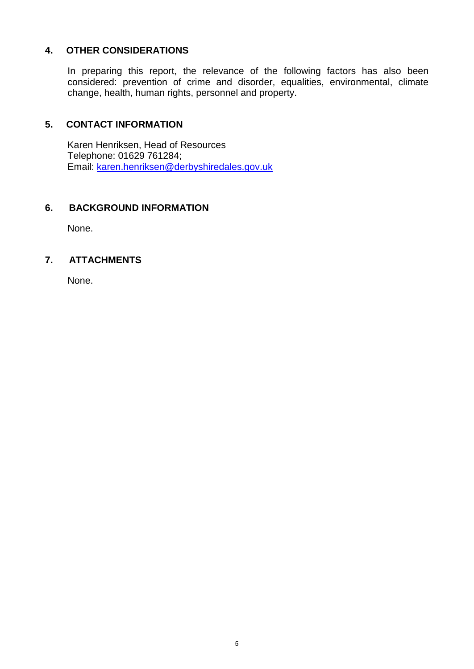# **4. OTHER CONSIDERATIONS**

In preparing this report, the relevance of the following factors has also been considered: prevention of crime and disorder, equalities, environmental, climate change, health, human rights, personnel and property.

#### **5. CONTACT INFORMATION**

Karen Henriksen, Head of Resources Telephone: 01629 761284; Email: [karen.henriksen@derbyshiredales.gov.uk](mailto:karen.henriksen@derbyshiredales.gov.uk)

#### **6. BACKGROUND INFORMATION**

None.

# **7. ATTACHMENTS**

None.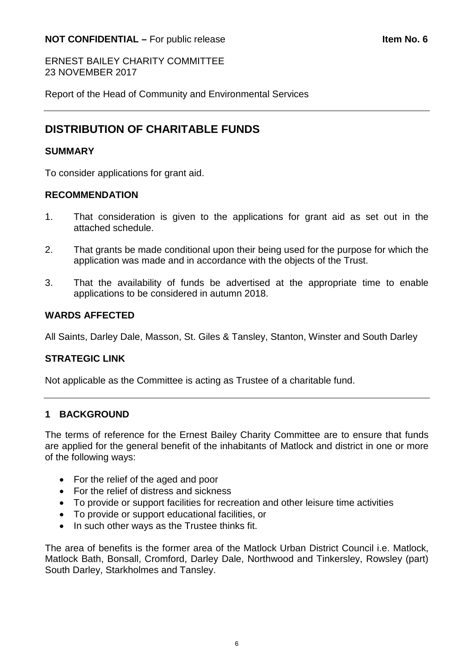### <span id="page-5-0"></span>**NOT CONFIDENTIAL –** For public release **Internal CONFIDENTIAL** – For public release

ERNEST BAILEY CHARITY COMMITTEE 23 NOVEMBER 2017

Report of the Head of Community and Environmental Services

# **DISTRIBUTION OF CHARITABLE FUNDS**

#### **SUMMARY**

To consider applications for grant aid.

# **RECOMMENDATION**

- 1. That consideration is given to the applications for grant aid as set out in the attached schedule.
- 2. That grants be made conditional upon their being used for the purpose for which the application was made and in accordance with the objects of the Trust.
- 3. That the availability of funds be advertised at the appropriate time to enable applications to be considered in autumn 2018.

#### **WARDS AFFECTED**

All Saints, Darley Dale, Masson, St. Giles & Tansley, Stanton, Winster and South Darley

#### **STRATEGIC LINK**

Not applicable as the Committee is acting as Trustee of a charitable fund.

#### **1 BACKGROUND**

The terms of reference for the Ernest Bailey Charity Committee are to ensure that funds are applied for the general benefit of the inhabitants of Matlock and district in one or more of the following ways:

- For the relief of the aged and poor
- For the relief of distress and sickness
- To provide or support facilities for recreation and other leisure time activities
- To provide or support educational facilities, or
- In such other ways as the Trustee thinks fit.

The area of benefits is the former area of the Matlock Urban District Council i.e. Matlock, Matlock Bath, Bonsall, Cromford, Darley Dale, Northwood and Tinkersley, Rowsley (part) South Darley, Starkholmes and Tansley.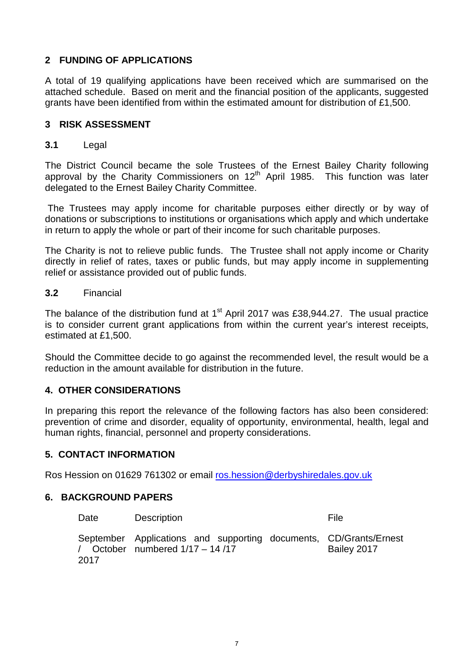# **2 FUNDING OF APPLICATIONS**

A total of 19 qualifying applications have been received which are summarised on the attached schedule. Based on merit and the financial position of the applicants, suggested grants have been identified from within the estimated amount for distribution of £1,500.

#### **3 RISK ASSESSMENT**

#### **3.1** Legal

The District Council became the sole Trustees of the Ernest Bailey Charity following approval by the Charity Commissioners on  $12<sup>th</sup>$  April 1985. This function was later delegated to the Ernest Bailey Charity Committee.

The Trustees may apply income for charitable purposes either directly or by way of donations or subscriptions to institutions or organisations which apply and which undertake in return to apply the whole or part of their income for such charitable purposes.

The Charity is not to relieve public funds. The Trustee shall not apply income or Charity directly in relief of rates, taxes or public funds, but may apply income in supplementing relief or assistance provided out of public funds.

#### **3.2** Financial

The balance of the distribution fund at  $1<sup>st</sup>$  April 2017 was £38,944.27. The usual practice is to consider current grant applications from within the current year's interest receipts, estimated at £1,500.

Should the Committee decide to go against the recommended level, the result would be a reduction in the amount available for distribution in the future.

#### **4. OTHER CONSIDERATIONS**

In preparing this report the relevance of the following factors has also been considered: prevention of crime and disorder, equality of opportunity, environmental, health, legal and human rights, financial, personnel and property considerations.

#### **5. CONTACT INFORMATION**

Ros Hession on 01629 761302 or email [ros.hession@derbyshiredales.gov.uk](mailto:ros.hession@derbyshiredales.gov.uk) 

#### **6. BACKGROUND PAPERS**

| Date | <b>Description</b>                                                                                     | File        |
|------|--------------------------------------------------------------------------------------------------------|-------------|
| 2017 | September Applications and supporting documents, CD/Grants/Ernest<br>/ October numbered $1/17 - 14/17$ | Bailey 2017 |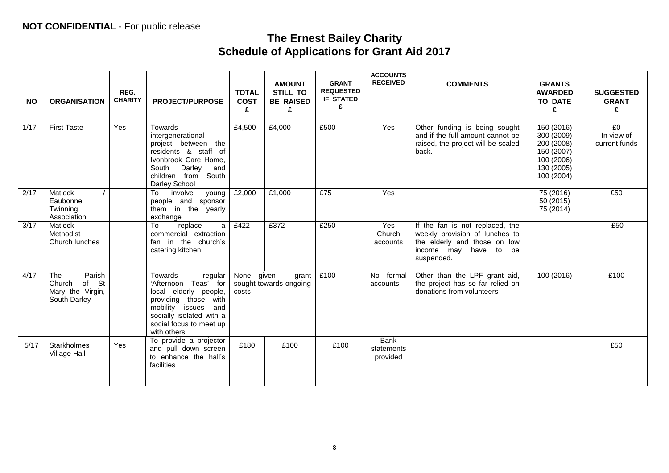# **The Ernest Bailey Charity Schedule of Applications for Grant Aid 2017**

| <b>NO</b> | <b>ORGANISATION</b>                                                  | REG.<br><b>CHARITY</b> | <b>PROJECT/PURPOSE</b>                                                                                                                                                                      | <b>TOTAL</b><br><b>COST</b><br>£ | <b>AMOUNT</b><br><b>STILL TO</b><br><b>BE RAISED</b><br>£ | <b>GRANT</b><br><b>REQUESTED</b><br><b>IF STATED</b><br>£ | <b>ACCOUNTS</b><br><b>RECEIVED</b>    | <b>COMMENTS</b>                                                                                                                             | <b>GRANTS</b><br><b>AWARDED</b><br><b>TO DATE</b><br>£                                         | <b>SUGGESTED</b><br><b>GRANT</b><br>£ |
|-----------|----------------------------------------------------------------------|------------------------|---------------------------------------------------------------------------------------------------------------------------------------------------------------------------------------------|----------------------------------|-----------------------------------------------------------|-----------------------------------------------------------|---------------------------------------|---------------------------------------------------------------------------------------------------------------------------------------------|------------------------------------------------------------------------------------------------|---------------------------------------|
| 1/17      | <b>First Taste</b>                                                   | Yes                    | Towards<br>intergenerational<br>project between the<br>residents & staff of<br>Ivonbrook Care Home,<br>Darley<br>South<br>and<br>children from South<br>Darley School                       | £4,500                           | £4,000                                                    | £500                                                      | Yes                                   | Other funding is being sought<br>and if the full amount cannot be<br>raised, the project will be scaled<br>back.                            | 150 (2016)<br>300 (2009)<br>200 (2008)<br>150 (2007)<br>100 (2006)<br>130 (2005)<br>100 (2004) | £0<br>In view of<br>current funds     |
| 2/17      | Matlock<br>Eaubonne<br>Twinning<br>Association                       |                        | involve<br>To<br>young<br>people and sponsor<br>them in the yearly<br>exchange                                                                                                              | £2,000                           | £1,000                                                    | £75                                                       | Yes                                   |                                                                                                                                             | 75 (2016)<br>50 (2015)<br>75 (2014)                                                            | E50                                   |
| 3/17      | Matlock<br>Methodist<br>Church lunches                               |                        | To<br>replace<br>a<br>commercial extraction<br>fan in the church's<br>catering kitchen                                                                                                      | £422                             | £372                                                      | £250                                                      | Yes<br>Church<br>accounts             | If the fan is not replaced, the<br>weekly provision of lunches to<br>the elderly and those on low<br>income may have to<br>be<br>suspended. |                                                                                                | £50                                   |
| 4/17      | Parish<br>The<br>of St<br>Church<br>Mary the Virgin,<br>South Darley |                        | Towards<br>regular<br>'Afternoon Teas' for<br>local elderly people,<br>providing those<br>with<br>mobility issues and<br>socially isolated with a<br>social focus to meet up<br>with others | None given $-$<br>costs          | grant<br>sought towards ongoing                           | £100                                                      | No formal<br>accounts                 | Other than the LPF grant aid,<br>the project has so far relied on<br>donations from volunteers                                              | 100(2016)                                                                                      | £100                                  |
| 5/17      | Starkholmes<br>Village Hall                                          | <b>Yes</b>             | To provide a projector<br>and pull down screen<br>to enhance the hall's<br>facilities                                                                                                       | £180                             | £100                                                      | £100                                                      | <b>Bank</b><br>statements<br>provided |                                                                                                                                             | $\blacksquare$                                                                                 | £50                                   |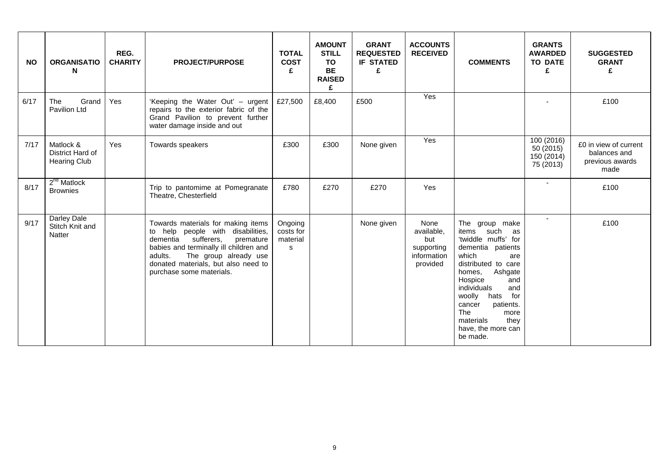| <b>NO</b> | <b>ORGANISATIO</b><br>N                              | REG.<br><b>CHARITY</b> | <b>PROJECT/PURPOSE</b>                                                                                                                                                                                                                                          | <b>TOTAL</b><br><b>COST</b><br>£      | <b>AMOUNT</b><br><b>STILL</b><br><b>TO</b><br><b>BE</b><br><b>RAISED</b><br>£ | <b>GRANT</b><br><b>REQUESTED</b><br><b>IF STATED</b><br>£ | <b>ACCOUNTS</b><br><b>RECEIVED</b>                                 | <b>COMMENTS</b>                                                                                                                                                                                                                                                                                                    | <b>GRANTS</b><br><b>AWARDED</b><br><b>TO DATE</b><br>£ | <b>SUGGESTED</b><br><b>GRANT</b><br>£                            |
|-----------|------------------------------------------------------|------------------------|-----------------------------------------------------------------------------------------------------------------------------------------------------------------------------------------------------------------------------------------------------------------|---------------------------------------|-------------------------------------------------------------------------------|-----------------------------------------------------------|--------------------------------------------------------------------|--------------------------------------------------------------------------------------------------------------------------------------------------------------------------------------------------------------------------------------------------------------------------------------------------------------------|--------------------------------------------------------|------------------------------------------------------------------|
| 6/17      | The<br>Grand<br>Pavilion Ltd                         | Yes                    | 'Keeping the Water Out' - urgent<br>repairs to the exterior fabric of the<br>Grand Pavilion to prevent further<br>water damage inside and out                                                                                                                   | £27,500                               | £8,400                                                                        | £500                                                      | Yes                                                                |                                                                                                                                                                                                                                                                                                                    |                                                        | £100                                                             |
| 7/17      | Matlock &<br>District Hard of<br><b>Hearing Club</b> | <b>Yes</b>             | Towards speakers                                                                                                                                                                                                                                                | £300                                  | £300                                                                          | None given                                                | Yes                                                                |                                                                                                                                                                                                                                                                                                                    | 100 (2016)<br>50 (2015)<br>150 (2014)<br>75 (2013)     | £0 in view of current<br>balances and<br>previous awards<br>made |
| 8/17      | 2 <sup>nd</sup> Matlock<br><b>Brownies</b>           |                        | Trip to pantomime at Pomegranate<br>Theatre, Chesterfield                                                                                                                                                                                                       | £780                                  | £270                                                                          | £270                                                      | Yes                                                                |                                                                                                                                                                                                                                                                                                                    | $\sim$                                                 | £100                                                             |
| 9/17      | Darley Dale<br>Stitch Knit and<br><b>Natter</b>      |                        | Towards materials for making items<br>to help people with disabilities,<br>dementia<br>sufferers,<br>premature<br>babies and terminally ill children and<br>The group already use<br>adults.<br>donated materials, but also need to<br>purchase some materials. | Ongoing<br>costs for<br>material<br>s |                                                                               | None given                                                | None<br>available,<br>but<br>supporting<br>information<br>provided | The group make<br>such<br>as<br>items<br>'twiddle muffs' for<br>dementia patients<br>which<br>are<br>distributed to care<br>Ashgate<br>homes,<br>Hospice<br>and<br>and<br>individuals<br>woolly<br>hats<br>for<br>patients.<br>cancer<br><b>The</b><br>more<br>materials<br>they<br>have, the more can<br>be made. | $\sim$                                                 | £100                                                             |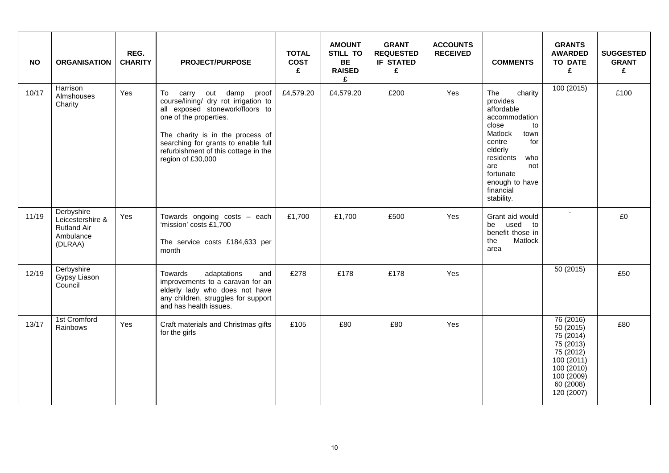| <b>NO</b> | <b>ORGANISATION</b>                                                          | REG.<br><b>CHARITY</b> | <b>PROJECT/PURPOSE</b>                                                                                                                                                                                                                                                  | <b>TOTAL</b><br><b>COST</b><br>£ | <b>AMOUNT</b><br><b>STILL TO</b><br><b>BE</b><br><b>RAISED</b><br>£ | <b>GRANT</b><br><b>REQUESTED</b><br><b>IF STATED</b><br>£ | <b>ACCOUNTS</b><br><b>RECEIVED</b> | <b>COMMENTS</b>                                                                                                                                                                                                     | <b>GRANTS</b><br><b>AWARDED</b><br><b>TO DATE</b><br>£                                                                            | <b>SUGGESTED</b><br><b>GRANT</b><br>£ |
|-----------|------------------------------------------------------------------------------|------------------------|-------------------------------------------------------------------------------------------------------------------------------------------------------------------------------------------------------------------------------------------------------------------------|----------------------------------|---------------------------------------------------------------------|-----------------------------------------------------------|------------------------------------|---------------------------------------------------------------------------------------------------------------------------------------------------------------------------------------------------------------------|-----------------------------------------------------------------------------------------------------------------------------------|---------------------------------------|
| 10/17     | Harrison<br>Almshouses<br>Charity                                            | Yes                    | carry out damp proof<br>To<br>course/lining/ dry rot irrigation to<br>all exposed stonework/floors to<br>one of the properties.<br>The charity is in the process of<br>searching for grants to enable full<br>refurbishment of this cottage in the<br>region of £30,000 | £4,579.20                        | £4,579.20                                                           | £200                                                      | Yes                                | The<br>charity<br>provides<br>affordable<br>accommodation<br>close<br>to<br>Matlock<br>town<br>centre<br>for<br>elderly<br>residents<br>who<br>not<br>are<br>fortunate<br>enough to have<br>financial<br>stability. | 100(2015)                                                                                                                         | £100                                  |
| 11/19     | Derbyshire<br>Leicestershire &<br><b>Rutland Air</b><br>Ambulance<br>(DLRAA) | Yes                    | Towards ongoing costs - each<br>'mission' costs £1,700<br>The service costs £184,633 per<br>month                                                                                                                                                                       | £1,700                           | £1,700                                                              | £500                                                      | Yes                                | Grant aid would<br>be<br>used to<br>benefit those in<br>Matlock<br>the<br>area                                                                                                                                      | $\blacksquare$                                                                                                                    | £0                                    |
| 12/19     | Derbyshire<br>Gypsy Liason<br>Council                                        |                        | Towards<br>adaptations<br>and<br>improvements to a caravan for an<br>elderly lady who does not have<br>any children, struggles for support<br>and has health issues.                                                                                                    | £278                             | £178                                                                | £178                                                      | Yes                                |                                                                                                                                                                                                                     | 50(2015)                                                                                                                          | £50                                   |
| 13/17     | 1st Cromford<br>Rainbows                                                     | Yes                    | Craft materials and Christmas gifts<br>for the girls                                                                                                                                                                                                                    | £105                             | £80                                                                 | £80                                                       | Yes                                |                                                                                                                                                                                                                     | 76 (2016)<br>50 (2015)<br>75 (2014)<br>75 (2013)<br>75 (2012)<br>100(2011)<br>100 (2010)<br>100 (2009)<br>60 (2008)<br>120 (2007) | £80                                   |